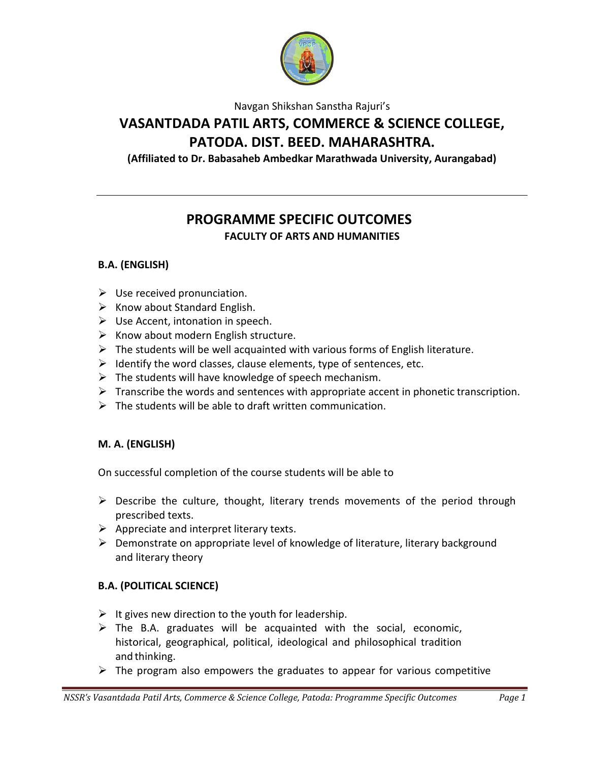

Navgan Shikshan Sanstha Rajuri's

# **VASANTDADA PATIL ARTS, COMMERCE & SCIENCE COLLEGE, PATODA. DIST. BEED. MAHARASHTRA.**

**(Affiliated to Dr. Babasaheb Ambedkar Marathwada University, Aurangabad)**

# **PROGRAMME SPECIFIC OUTCOMES**

**FACULTY OF ARTS AND HUMANITIES**

## **B.A. (ENGLISH)**

- $\triangleright$  Use received pronunciation.
- $\triangleright$  Know about Standard English.
- $\triangleright$  Use Accent, intonation in speech.
- $\triangleright$  Know about modern English structure.
- $\triangleright$  The students will be well acquainted with various forms of English literature.
- $\triangleright$  Identify the word classes, clause elements, type of sentences, etc.
- $\triangleright$  The students will have knowledge of speech mechanism.
- $\triangleright$  Transcribe the words and sentences with appropriate accent in phonetic transcription.
- $\triangleright$  The students will be able to draft written communication.

#### **M. A. (ENGLISH)**

On successful completion of the course students will be able to

- $\triangleright$  Describe the culture, thought, literary trends movements of the period through prescribed texts.
- $\triangleright$  Appreciate and interpret literary texts.
- $\triangleright$  Demonstrate on appropriate level of knowledge of literature, literary background and literary theory

## **B.A. (POLITICAL SCIENCE)**

- $\triangleright$  It gives new direction to the youth for leadership.
- $\triangleright$  The B.A. graduates will be acquainted with the social, economic, historical, geographical, political, ideological and philosophical tradition and thinking.
- $\triangleright$  The program also empowers the graduates to appear for various competitive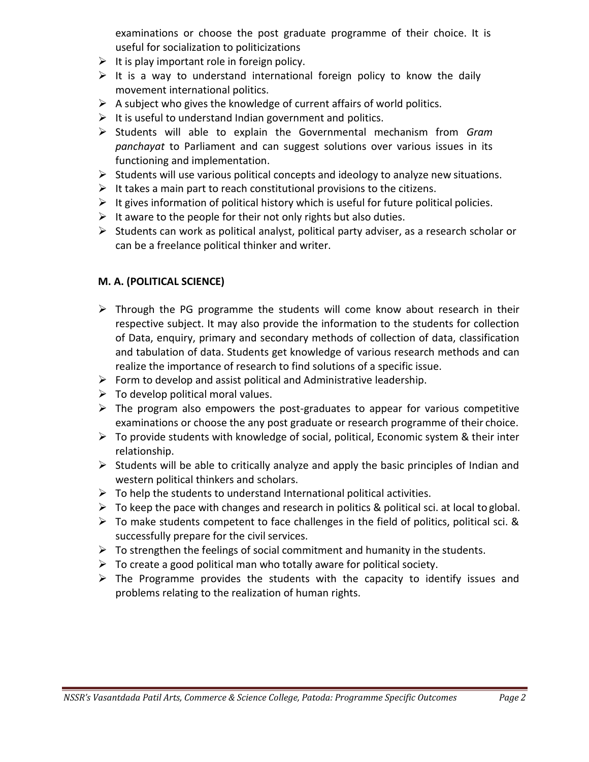examinations or choose the post graduate programme of their choice. It is useful for socialization to politicizations

- $\triangleright$  It is play important role in foreign policy.
- $\triangleright$  It is a way to understand international foreign policy to know the daily movement international politics.
- $\triangleright$  A subject who gives the knowledge of current affairs of world politics.
- $\triangleright$  It is useful to understand Indian government and politics.
- Students will able to explain the Governmental mechanism from *Gram panchayat* to Parliament and can suggest solutions over various issues in its functioning and implementation.
- $\triangleright$  Students will use various political concepts and ideology to analyze new situations.
- $\triangleright$  It takes a main part to reach constitutional provisions to the citizens.
- $\triangleright$  It gives information of political history which is useful for future political policies.
- $\triangleright$  It aware to the people for their not only rights but also duties.
- $\triangleright$  Students can work as political analyst, political party adviser, as a research scholar or can be a freelance political thinker and writer.

### **M. A. (POLITICAL SCIENCE)**

- $\triangleright$  Through the PG programme the students will come know about research in their respective subject. It may also provide the information to the students for collection of Data, enquiry, primary and secondary methods of collection of data, classification and tabulation of data. Students get knowledge of various research methods and can realize the importance of research to find solutions of a specific issue.
- $\triangleright$  Form to develop and assist political and Administrative leadership.
- $\triangleright$  To develop political moral values.
- $\triangleright$  The program also empowers the post-graduates to appear for various competitive examinations or choose the any post graduate or research programme of their choice.
- $\triangleright$  To provide students with knowledge of social, political, Economic system & their inter relationship.
- $\triangleright$  Students will be able to critically analyze and apply the basic principles of Indian and western political thinkers and scholars.
- $\triangleright$  To help the students to understand International political activities.
- $\triangleright$  To keep the pace with changes and research in politics & political sci. at local to global.
- $\triangleright$  To make students competent to face challenges in the field of politics, political sci. & successfully prepare for the civil services.
- $\triangleright$  To strengthen the feelings of social commitment and humanity in the students.
- $\triangleright$  To create a good political man who totally aware for political society.
- $\triangleright$  The Programme provides the students with the capacity to identify issues and problems relating to the realization of human rights.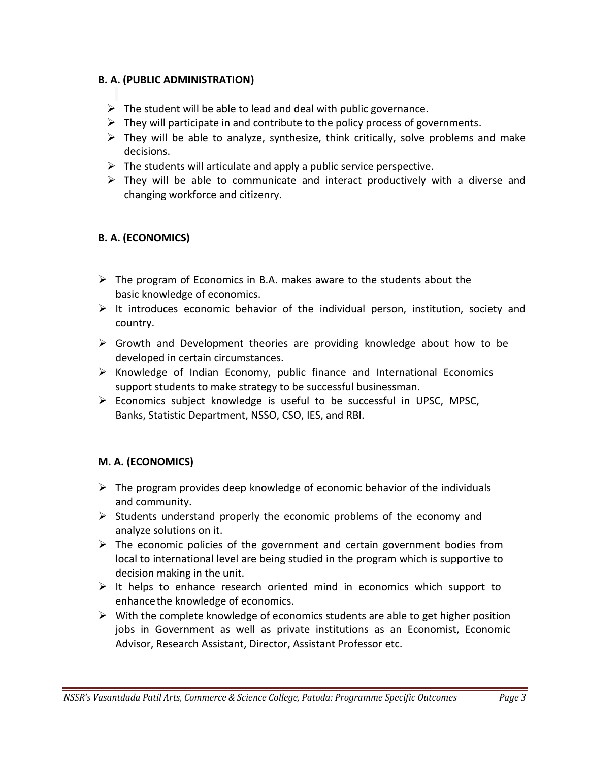#### **B. A. (PUBLIC ADMINISTRATION)**

- $\triangleright$  The student will be able to lead and deal with public governance.
- $\triangleright$  They will participate in and contribute to the policy process of governments.
- $\triangleright$  They will be able to analyze, synthesize, think critically, solve problems and make decisions.
- $\triangleright$  The students will articulate and apply a public service perspective.
- $\triangleright$  They will be able to communicate and interact productively with a diverse and changing workforce and citizenry.

### **B. A. (ECONOMICS)**

- $\triangleright$  The program of Economics in B.A. makes aware to the students about the basic knowledge of economics.
- $\triangleright$  It introduces economic behavior of the individual person, institution, society and country.
- $\triangleright$  Growth and Development theories are providing knowledge about how to be developed in certain circumstances.
- $\triangleright$  Knowledge of Indian Economy, public finance and International Economics support students to make strategy to be successful businessman.
- Economics subject knowledge is useful to be successful in UPSC, MPSC, Banks, Statistic Department, NSSO, CSO, IES, and RBI.

#### **M. A. (ECONOMICS)**

- $\triangleright$  The program provides deep knowledge of economic behavior of the individuals and community.
- $\triangleright$  Students understand properly the economic problems of the economy and analyze solutions on it.
- $\triangleright$  The economic policies of the government and certain government bodies from local to international level are being studied in the program which is supportive to decision making in the unit.
- $\triangleright$  It helps to enhance research oriented mind in economics which support to enhancethe knowledge of economics.
- $\triangleright$  With the complete knowledge of economics students are able to get higher position jobs in Government as well as private institutions as an Economist, Economic Advisor, Research Assistant, Director, Assistant Professor etc.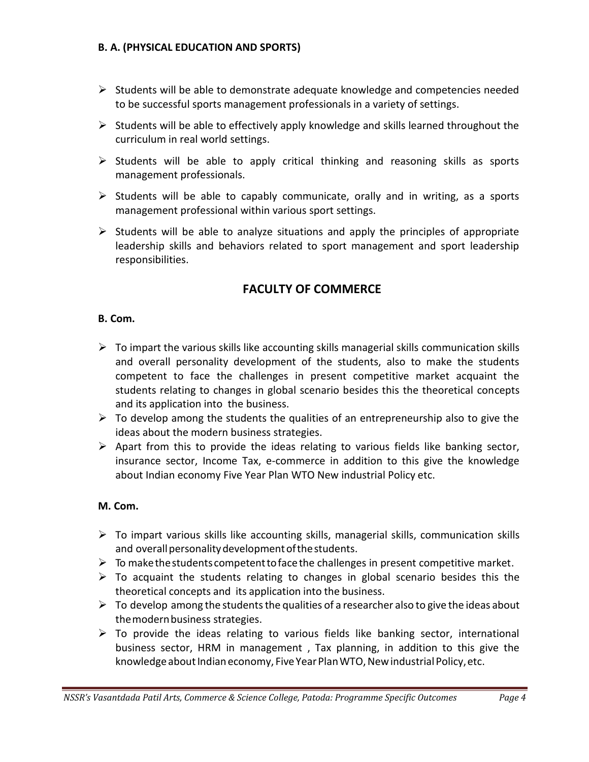#### **B. A. (PHYSICAL EDUCATION AND SPORTS)**

- $\triangleright$  Students will be able to demonstrate adequate knowledge and competencies needed to be successful sports management professionals in a variety of settings.
- $\triangleright$  Students will be able to effectively apply knowledge and skills learned throughout the curriculum in real world settings.
- $\triangleright$  Students will be able to apply critical thinking and reasoning skills as sports management professionals.
- $\triangleright$  Students will be able to capably communicate, orally and in writing, as a sports management professional within various sport settings.
- $\triangleright$  Students will be able to analyze situations and apply the principles of appropriate leadership skills and behaviors related to sport management and sport leadership responsibilities.

## **FACULTY OF COMMERCE**

#### **B. Com.**

- $\triangleright$  To impart the various skills like accounting skills managerial skills communication skills and overall personality development of the students, also to make the students competent to face the challenges in present competitive market acquaint the students relating to changes in global scenario besides this the theoretical concepts and its application into the business.
- $\triangleright$  To develop among the students the qualities of an entrepreneurship also to give the ideas about the modern business strategies.
- $\triangleright$  Apart from this to provide the ideas relating to various fields like banking sector, insurance sector, Income Tax, e-commerce in addition to this give the knowledge about Indian economy Five Year Plan WTO New industrial Policy etc.

#### **M. Com.**

- $\triangleright$  To impart various skills like accounting skills, managerial skills, communication skills and overall personality development of the students.
- $\triangleright$  To make the students competent to face the challenges in present competitive market.
- $\triangleright$  To acquaint the students relating to changes in global scenario besides this the theoretical concepts and its application into the business.
- $\triangleright$  To develop among the students the qualities of a researcher also to give the ideas about themodernbusiness strategies.
- $\triangleright$  To provide the ideas relating to various fields like banking sector, international business sector, HRM in management , Tax planning, in addition to this give the knowledge about Indian economy, Five Year Plan WTO, New industrial Policy, etc.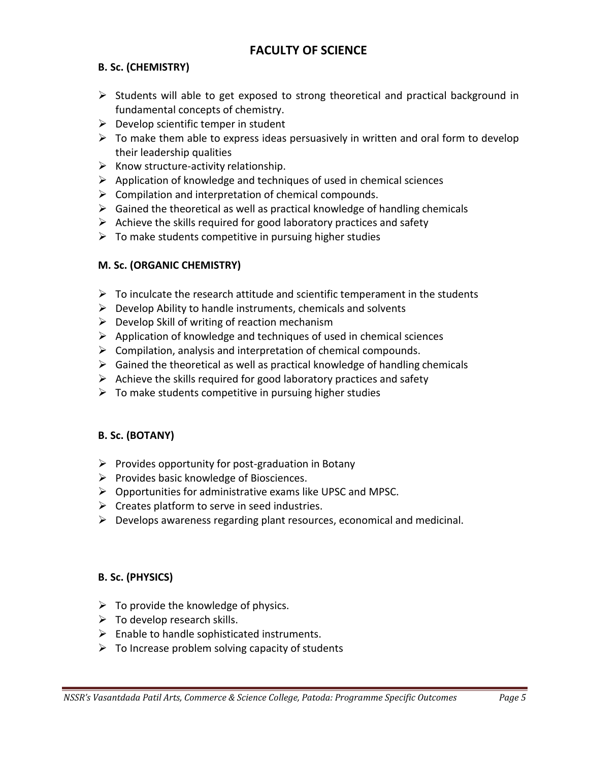## **FACULTY OF SCIENCE**

## **B. Sc. (CHEMISTRY)**

- $\triangleright$  Students will able to get exposed to strong theoretical and practical background in fundamental concepts of chemistry.
- $\triangleright$  Develop scientific temper in student
- $\triangleright$  To make them able to express ideas persuasively in written and oral form to develop their leadership qualities
- $\triangleright$  Know structure-activity relationship.
- $\triangleright$  Application of knowledge and techniques of used in chemical sciences
- $\triangleright$  Compilation and interpretation of chemical compounds.
- $\triangleright$  Gained the theoretical as well as practical knowledge of handling chemicals
- $\triangleright$  Achieve the skills required for good laboratory practices and safety
- $\triangleright$  To make students competitive in pursuing higher studies

#### **M. Sc. (ORGANIC CHEMISTRY)**

- $\triangleright$  To inculcate the research attitude and scientific temperament in the students
- $\triangleright$  Develop Ability to handle instruments, chemicals and solvents
- $\triangleright$  Develop Skill of writing of reaction mechanism
- $\triangleright$  Application of knowledge and techniques of used in chemical sciences
- $\triangleright$  Compilation, analysis and interpretation of chemical compounds.
- $\triangleright$  Gained the theoretical as well as practical knowledge of handling chemicals
- $\triangleright$  Achieve the skills required for good laboratory practices and safety
- $\triangleright$  To make students competitive in pursuing higher studies

#### **B. Sc. (BOTANY)**

- $\triangleright$  Provides opportunity for post-graduation in Botany
- $\triangleright$  Provides basic knowledge of Biosciences.
- $\triangleright$  Opportunities for administrative exams like UPSC and MPSC.
- $\triangleright$  Creates platform to serve in seed industries.
- $\triangleright$  Develops awareness regarding plant resources, economical and medicinal.

#### **B. Sc. (PHYSICS)**

- $\triangleright$  To provide the knowledge of physics.
- $\triangleright$  To develop research skills.
- $\triangleright$  Enable to handle sophisticated instruments.
- $\triangleright$  To Increase problem solving capacity of students